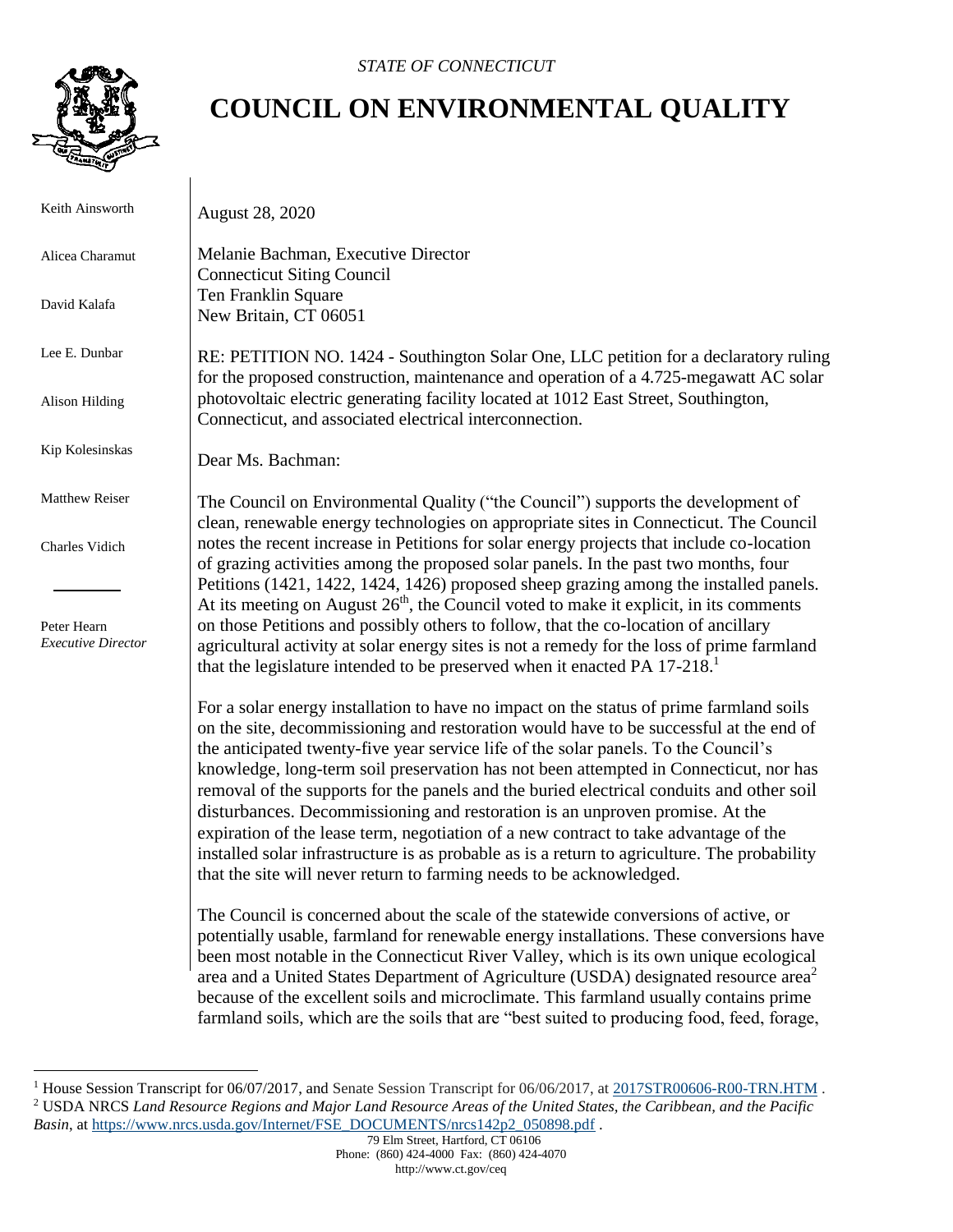

## **COUNCIL ON ENVIRONMENTAL QUALITY**

 Keith Ainsworth Alicea Charamut David Kalafa Lee E. Dunbar Alison Hilding Kip Kolesinskas Matthew Reiser Charles Vidich Peter Hearn  *Executive Director* August 28, 2020 Melanie Bachman, Executive Director Connecticut Siting Council Ten Franklin Square New Britain, CT 06051 RE: PETITION NO. 1424 - Southington Solar One, LLC petition for a declaratory ruling for the proposed construction, maintenance and operation of a 4.725-megawatt AC solar photovoltaic electric generating facility located at 1012 East Street, Southington, Connecticut, and associated electrical interconnection. Dear Ms. Bachman: The Council on Environmental Quality ("the Council") supports the development of clean, renewable energy technologies on appropriate sites in Connecticut. The Council notes the recent increase in Petitions for solar energy projects that include co-location of grazing activities among the proposed solar panels. In the past two months, four Petitions (1421, 1422, 1424, 1426) proposed sheep grazing among the installed panels. At its meeting on August  $26<sup>th</sup>$ , the Council voted to make it explicit, in its comments on those Petitions and possibly others to follow, that the co-location of ancillary agricultural activity at solar energy sites is not a remedy for the loss of prime farmland that the legislature intended to be preserved when it enacted PA 17-218.<sup>1</sup> For a solar energy installation to have no impact on the status of prime farmland soils on the site, decommissioning and restoration would have to be successful at the end of the anticipated twenty-five year service life of the solar panels. To the Council's knowledge, long-term soil preservation has not been attempted in Connecticut, nor has removal of the supports for the panels and the buried electrical conduits and other soil disturbances. Decommissioning and restoration is an unproven promise. At the expiration of the lease term, negotiation of a new contract to take advantage of the installed solar infrastructure is as probable as is a return to agriculture. The probability that the site will never return to farming needs to be acknowledged. The Council is concerned about the scale of the statewide conversions of active, or potentially usable, farmland for renewable energy installations. These conversions have been most notable in the Connecticut River Valley, which is its own unique ecological area and a United States Department of Agriculture (USDA) designated resource area<sup>2</sup> because of the excellent soils and microclimate. This farmland usually contains prime

farmland soils, which are the soils that are "best suited to producing food, feed, forage,

 $\overline{a}$ <sup>1</sup> House Session Transcript for  $06/07/2017$ , and Senate Session Transcript for  $06/06/2017$ , at  $2017STR00606-R00-TRN.HTM$ . <sup>2</sup> USDA NRCS *Land Resource Regions and Major Land Resource Areas of the United States, the Caribbean, and the Pacific Basin*, at [https://www.nrcs.usda.gov/Internet/FSE\\_DOCUMENTS/nrcs142p2\\_050898.pdf](https://www.nrcs.usda.gov/Internet/FSE_DOCUMENTS/nrcs142p2_050898.pdf) .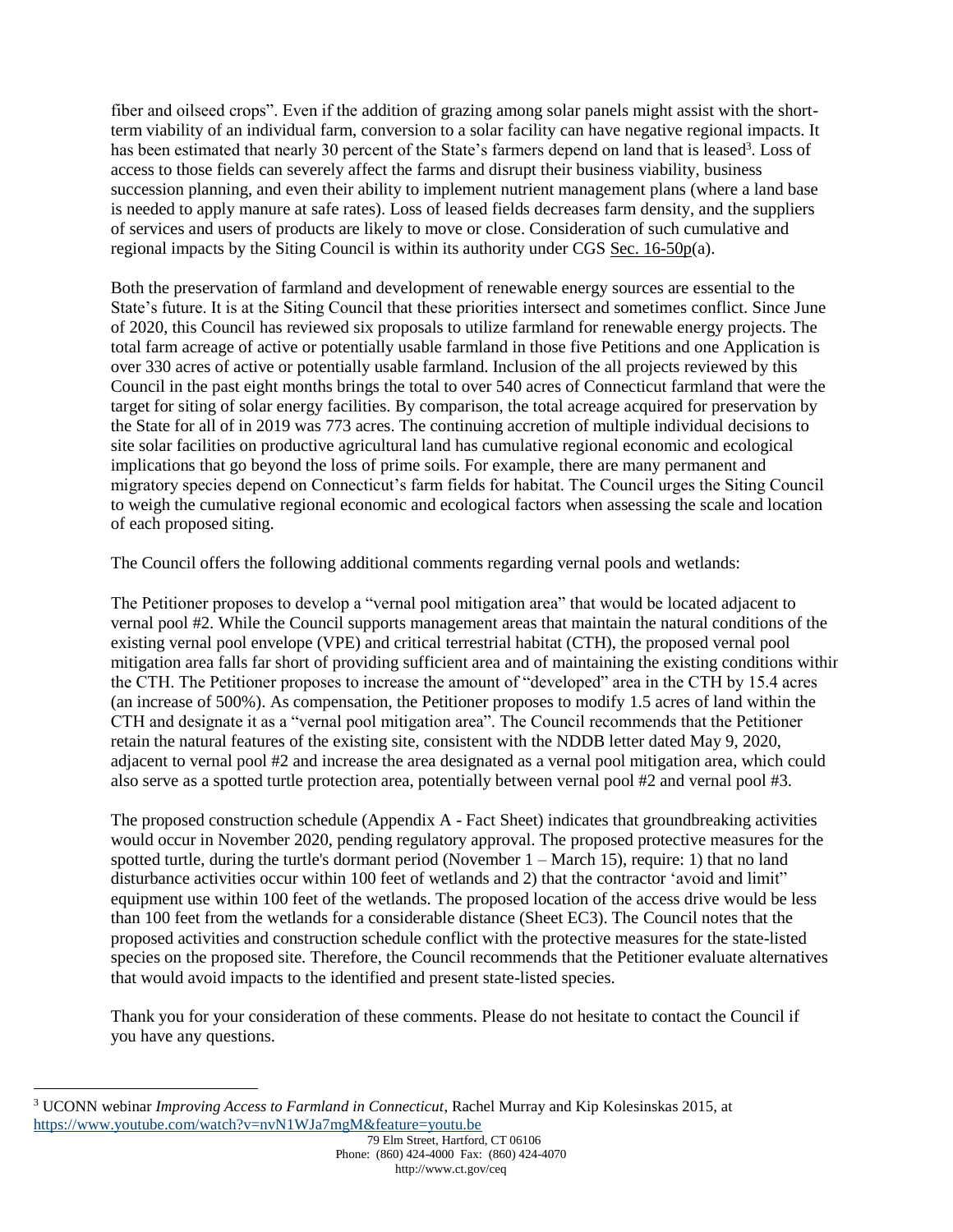fiber and oilseed crops". Even if the addition of grazing among solar panels might assist with the shortterm viability of an individual farm, conversion to a solar facility can have negative regional impacts. It has been estimated that nearly 30 percent of the State's farmers depend on land that is leased<sup>3</sup>. Loss of access to those fields can severely affect the farms and disrupt their business viability, business succession planning, and even their ability to implement nutrient management plans (where a land base is needed to apply manure at safe rates). Loss of leased fields decreases farm density, and the suppliers of services and users of products are likely to move or close. Consideration of such cumulative and regional impacts by the Siting Council is within its authority under CGS [Sec. 16-50p\(](https://www.cga.ct.gov/current/pub/chap_277a.htm#sec_16-50k)a).

Both the preservation of farmland and development of renewable energy sources are essential to the State's future. It is at the Siting Council that these priorities intersect and sometimes conflict. Since June of 2020, this Council has reviewed six proposals to utilize farmland for renewable energy projects. The total farm acreage of active or potentially usable farmland in those five Petitions and one Application is over 330 acres of active or potentially usable farmland. Inclusion of the all projects reviewed by this Council in the past eight months brings the total to over 540 acres of Connecticut farmland that were the target for siting of solar energy facilities. By comparison, the total acreage acquired for preservation by the State for all of in 2019 was 773 acres. The continuing accretion of multiple individual decisions to site solar facilities on productive agricultural land has cumulative regional economic and ecological implications that go beyond the loss of prime soils. For example, there are many permanent and migratory species depend on Connecticut's farm fields for habitat. The Council urges the Siting Council to weigh the cumulative regional economic and ecological factors when assessing the scale and location of each proposed siting.

The Council offers the following additional comments regarding vernal pools and wetlands:

The Petitioner proposes to develop a "vernal pool mitigation area" that would be located adjacent to vernal pool #2. While the Council supports management areas that maintain the natural conditions of the existing vernal pool envelope (VPE) and critical terrestrial habitat (CTH), the proposed vernal pool mitigation area falls far short of providing sufficient area and of maintaining the existing conditions within the CTH. The Petitioner proposes to increase the amount of "developed" area in the CTH by 15.4 acres (an increase of 500%). As compensation, the Petitioner proposes to modify 1.5 acres of land within the CTH and designate it as a "vernal pool mitigation area". The Council recommends that the Petitioner retain the natural features of the existing site, consistent with the NDDB letter dated May 9, 2020, adjacent to vernal pool #2 and increase the area designated as a vernal pool mitigation area, which could also serve as a spotted turtle protection area, potentially between vernal pool #2 and vernal pool #3.

The proposed construction schedule (Appendix A - Fact Sheet) indicates that groundbreaking activities would occur in November 2020, pending regulatory approval. The proposed protective measures for the spotted turtle, during the turtle's dormant period (November 1 – March 15), require: 1) that no land disturbance activities occur within 100 feet of wetlands and 2) that the contractor 'avoid and limit" equipment use within 100 feet of the wetlands. The proposed location of the access drive would be less than 100 feet from the wetlands for a considerable distance (Sheet EC3). The Council notes that the proposed activities and construction schedule conflict with the protective measures for the state-listed species on the proposed site. Therefore, the Council recommends that the Petitioner evaluate alternatives that would avoid impacts to the identified and present state-listed species.

Thank you for your consideration of these comments. Please do not hesitate to contact the Council if you have any questions.

 $\overline{a}$ 

<sup>3</sup> UCONN webinar *Improving Access to Farmland in Connecticut*, Rachel Murray and Kip Kolesinskas 2015, at <https://www.youtube.com/watch?v=nvN1WJa7mgM&feature=youtu.be>